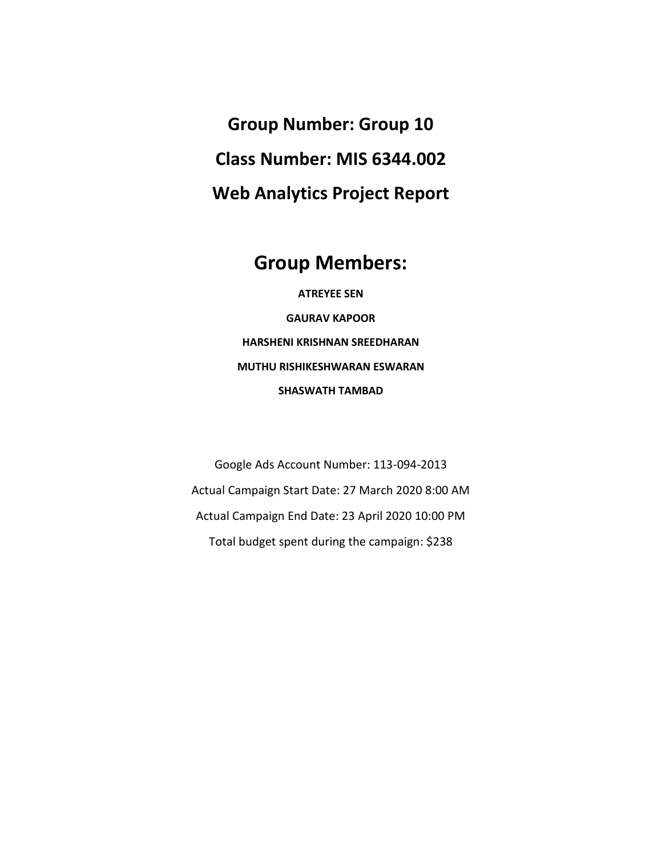**Group Number: Group 10 Class Number: MIS 6344.002 Web Analytics Project Report**

## **Group Members:**

**ATREYEE SEN GAURAV KAPOOR HARSHENI KRISHNAN SREEDHARAN MUTHU RISHIKESHWARAN ESWARAN SHASWATH TAMBAD**

Google Ads Account Number: 113-094-2013 Actual Campaign Start Date: 27 March 2020 8:00 AM Actual Campaign End Date: 23 April 2020 10:00 PM Total budget spent during the campaign: \$238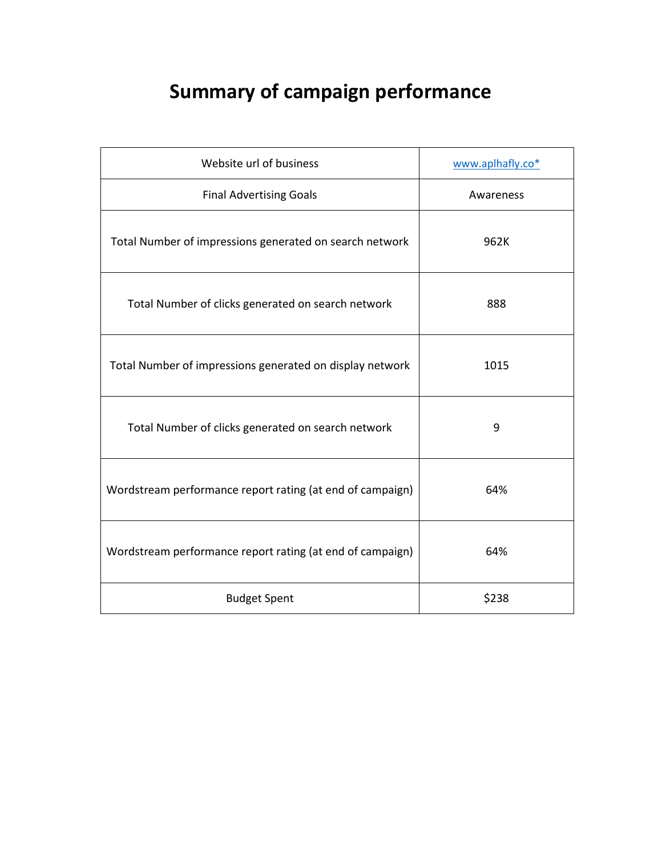# **Summary of campaign performance**

| Website url of business                                   | www.aplhafly.co* |
|-----------------------------------------------------------|------------------|
| <b>Final Advertising Goals</b>                            | Awareness        |
| Total Number of impressions generated on search network   | 962K             |
| Total Number of clicks generated on search network        | 888              |
| Total Number of impressions generated on display network  | 1015             |
| Total Number of clicks generated on search network        | 9                |
| Wordstream performance report rating (at end of campaign) | 64%              |
| Wordstream performance report rating (at end of campaign) | 64%              |
| <b>Budget Spent</b>                                       | \$238            |